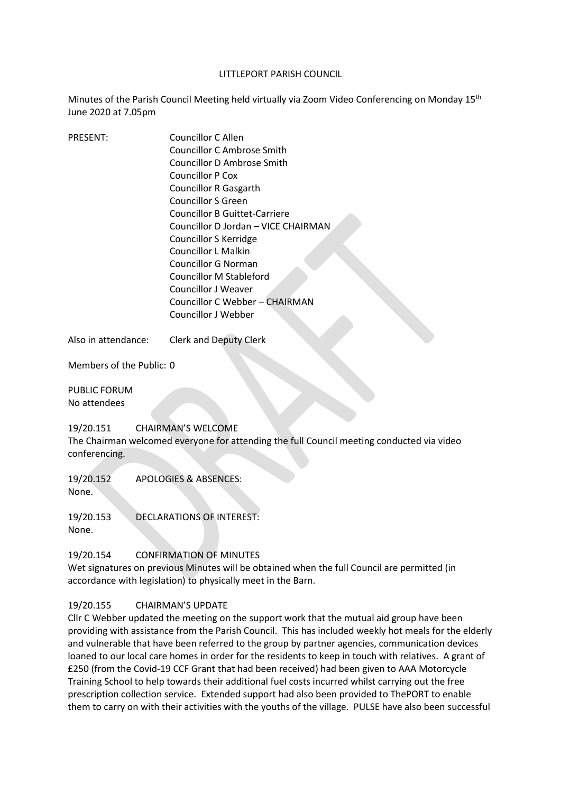#### LITTLEPORT PARISH COUNCIL

Minutes of the Parish Council Meeting held virtually via Zoom Video Conferencing on Monday 15<sup>th</sup> June 2020 at 7.05pm

| <b>PRESENT:</b> | Councillor C Allen                  |
|-----------------|-------------------------------------|
|                 | Councillor C Ambrose Smith          |
|                 | Councillor D Ambrose Smith          |
|                 | Councillor P Cox                    |
|                 | <b>Councillor R Gasgarth</b>        |
|                 | <b>Councillor S Green</b>           |
|                 | Councillor B Guittet-Carriere       |
|                 | Councillor D Jordan - VICE CHAIRMAN |
|                 | Councillor S Kerridge               |
|                 | Councillor L Malkin                 |
|                 | Councillor G Norman                 |
|                 | Councillor M Stableford             |
|                 | Councillor J Weaver                 |
|                 | Councillor C Webber - CHAIRMAN      |
|                 | Councillor J Webber                 |
|                 |                                     |

Also in attendance: Clerk and Deputy Clerk

Members of the Public: 0

PUBLIC FORUM No attendees

## 19/20.151 CHAIRMAN'S WELCOME The Chairman welcomed everyone for attending the full Council meeting conducted via video conferencing.

19/20.152 APOLOGIES & ABSENCES:

None.

19/20.153 DECLARATIONS OF INTEREST: None.

## 19/20.154 CONFIRMATION OF MINUTES

Wet signatures on previous Minutes will be obtained when the full Council are permitted (in accordance with legislation) to physically meet in the Barn.

## 19/20.155 CHAIRMAN'S UPDATE

Cllr C Webber updated the meeting on the support work that the mutual aid group have been providing with assistance from the Parish Council. This has included weekly hot meals for the elderly and vulnerable that have been referred to the group by partner agencies, communication devices loaned to our local care homes in order for the residents to keep in touch with relatives. A grant of £250 (from the Covid-19 CCF Grant that had been received) had been given to AAA Motorcycle Training School to help towards their additional fuel costs incurred whilst carrying out the free prescription collection service. Extended support had also been provided to ThePORT to enable them to carry on with their activities with the youths of the village. PULSE have also been successful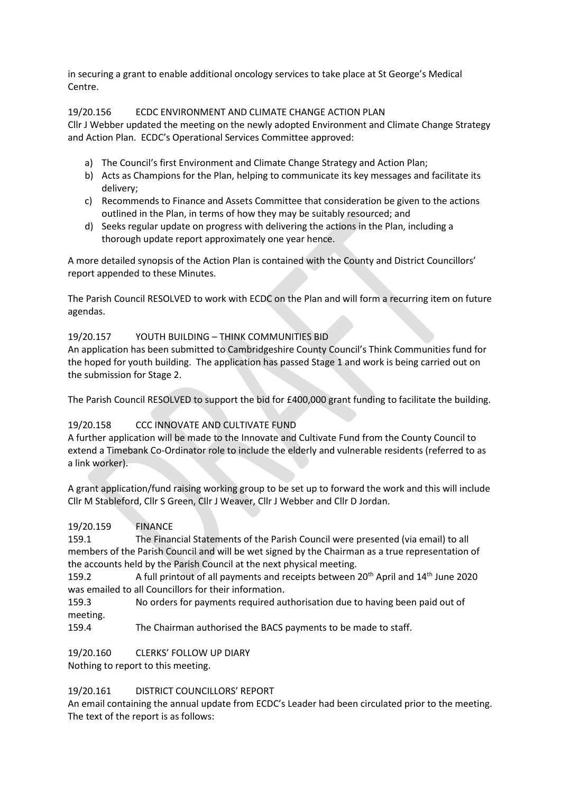in securing a grant to enable additional oncology services to take place at St George's Medical Centre.

## 19/20.156 ECDC ENVIRONMENT AND CLIMATE CHANGE ACTION PLAN

Cllr J Webber updated the meeting on the newly adopted Environment and Climate Change Strategy and Action Plan. ECDC's Operational Services Committee approved:

- a) The Council's first Environment and Climate Change Strategy and Action Plan;
- b) Acts as Champions for the Plan, helping to communicate its key messages and facilitate its delivery;
- c) Recommends to Finance and Assets Committee that consideration be given to the actions outlined in the Plan, in terms of how they may be suitably resourced; and
- d) Seeks regular update on progress with delivering the actions in the Plan, including a thorough update report approximately one year hence.

A more detailed synopsis of the Action Plan is contained with the County and District Councillors' report appended to these Minutes.

The Parish Council RESOLVED to work with ECDC on the Plan and will form a recurring item on future agendas.

### 19/20.157 YOUTH BUILDING – THINK COMMUNITIES BID

An application has been submitted to Cambridgeshire County Council's Think Communities fund for the hoped for youth building. The application has passed Stage 1 and work is being carried out on the submission for Stage 2.

The Parish Council RESOLVED to support the bid for £400,000 grant funding to facilitate the building.

## 19/20.158 CCC INNOVATE AND CULTIVATE FUND

A further application will be made to the Innovate and Cultivate Fund from the County Council to extend a Timebank Co-Ordinator role to include the elderly and vulnerable residents (referred to as a link worker).

A grant application/fund raising working group to be set up to forward the work and this will include Cllr M Stableford, Cllr S Green, Cllr J Weaver, Cllr J Webber and Cllr D Jordan.

### 19/20.159 FINANCE

159.1 The Financial Statements of the Parish Council were presented (via email) to all members of the Parish Council and will be wet signed by the Chairman as a true representation of the accounts held by the Parish Council at the next physical meeting.

159.2 A full printout of all payments and receipts between 20<sup>th</sup> April and 14<sup>th</sup> June 2020 was emailed to all Councillors for their information.

159.3 No orders for payments required authorisation due to having been paid out of meeting.

159.4 The Chairman authorised the BACS payments to be made to staff.

19/20.160 CLERKS' FOLLOW UP DIARY

Nothing to report to this meeting.

### 19/20.161 DISTRICT COUNCILLORS' REPORT

An email containing the annual update from ECDC's Leader had been circulated prior to the meeting. The text of the report is as follows: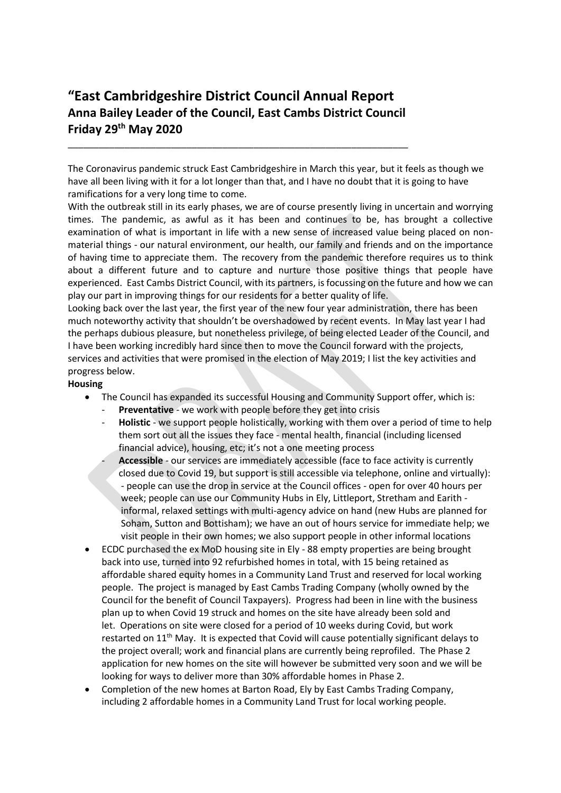# **"East Cambridgeshire District Council Annual Report Anna Bailey Leader of the Council, East Cambs District Council Friday 29th May 2020**

\_\_\_\_\_\_\_\_\_\_\_\_\_\_\_\_\_\_\_\_\_\_\_\_\_\_\_\_\_\_\_\_\_\_\_\_\_\_\_\_\_\_\_\_\_\_\_\_\_\_\_\_\_\_\_\_\_\_\_\_\_\_\_\_\_\_

The Coronavirus pandemic struck East Cambridgeshire in March this year, but it feels as though we have all been living with it for a lot longer than that, and I have no doubt that it is going to have ramifications for a very long time to come.

With the outbreak still in its early phases, we are of course presently living in uncertain and worrying times. The pandemic, as awful as it has been and continues to be, has brought a collective examination of what is important in life with a new sense of increased value being placed on nonmaterial things - our natural environment, our health, our family and friends and on the importance of having time to appreciate them. The recovery from the pandemic therefore requires us to think about a different future and to capture and nurture those positive things that people have experienced. East Cambs District Council, with its partners, is focussing on the future and how we can play our part in improving things for our residents for a better quality of life.

Looking back over the last year, the first year of the new four year administration, there has been much noteworthy activity that shouldn't be overshadowed by recent events. In May last year I had the perhaps dubious pleasure, but nonetheless privilege, of being elected Leader of the Council, and I have been working incredibly hard since then to move the Council forward with the projects, services and activities that were promised in the election of May 2019; I list the key activities and progress below.

**Housing**

- The Council has expanded its successful Housing and Community Support offer, which is:
	- **Preventative** we work with people before they get into crisis
	- **Holistic** we support people holistically, working with them over a period of time to help them sort out all the issues they face - mental health, financial (including licensed financial advice), housing, etc; it's not a one meeting process
		- **Accessible** our services are immediately accessible (face to face activity is currently closed due to Covid 19, but support is still accessible via telephone, online and virtually): - people can use the drop in service at the Council offices - open for over 40 hours per week; people can use our Community Hubs in Ely, Littleport, Stretham and Earith informal, relaxed settings with multi-agency advice on hand (new Hubs are planned for Soham, Sutton and Bottisham); we have an out of hours service for immediate help; we visit people in their own homes; we also support people in other informal locations
- ECDC purchased the ex MoD housing site in Ely 88 empty properties are being brought back into use, turned into 92 refurbished homes in total, with 15 being retained as affordable shared equity homes in a Community Land Trust and reserved for local working people. The project is managed by East Cambs Trading Company (wholly owned by the Council for the benefit of Council Taxpayers). Progress had been in line with the business plan up to when Covid 19 struck and homes on the site have already been sold and let. Operations on site were closed for a period of 10 weeks during Covid, but work restarted on  $11<sup>th</sup>$  May. It is expected that Covid will cause potentially significant delays to the project overall; work and financial plans are currently being reprofiled. The Phase 2 application for new homes on the site will however be submitted very soon and we will be looking for ways to deliver more than 30% affordable homes in Phase 2.
- Completion of the new homes at Barton Road, Ely by East Cambs Trading Company, including 2 affordable homes in a Community Land Trust for local working people.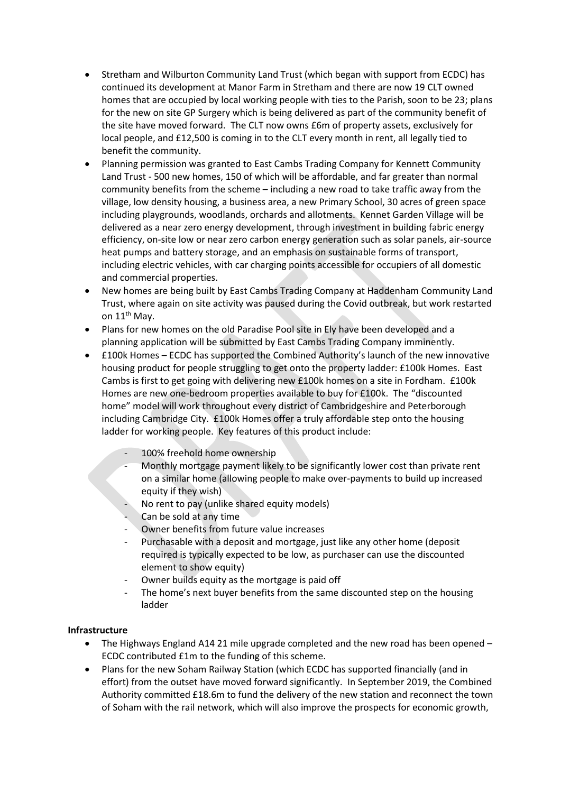- Stretham and Wilburton Community Land Trust (which began with support from ECDC) has continued its development at Manor Farm in Stretham and there are now 19 CLT owned homes that are occupied by local working people with ties to the Parish, soon to be 23; plans for the new on site GP Surgery which is being delivered as part of the community benefit of the site have moved forward. The CLT now owns £6m of property assets, exclusively for local people, and £12,500 is coming in to the CLT every month in rent, all legally tied to benefit the community.
- Planning permission was granted to East Cambs Trading Company for Kennett Community Land Trust - 500 new homes, 150 of which will be affordable, and far greater than normal community benefits from the scheme – including a new road to take traffic away from the village, low density housing, a business area, a new Primary School, 30 acres of green space including playgrounds, woodlands, orchards and allotments. Kennet Garden Village will be delivered as a near zero energy development, through investment in building fabric energy efficiency, on-site low or near zero carbon energy generation such as solar panels, air-source heat pumps and battery storage, and an emphasis on sustainable forms of transport, including electric vehicles, with car charging points accessible for occupiers of all domestic and commercial properties.
- New homes are being built by East Cambs Trading Company at Haddenham Community Land Trust, where again on site activity was paused during the Covid outbreak, but work restarted on 11<sup>th</sup> May.
- Plans for new homes on the old Paradise Pool site in Ely have been developed and a planning application will be submitted by East Cambs Trading Company imminently.
- £100k Homes ECDC has supported the Combined Authority's launch of the new innovative housing product for people struggling to get onto the property ladder: £100k Homes. East Cambs is first to get going with delivering new £100k homes on a site in Fordham. £100k Homes are new one-bedroom properties available to buy for £100k. The "discounted home" model will work throughout every district of Cambridgeshire and Peterborough including Cambridge City. £100k Homes offer a truly affordable step onto the housing ladder for working people. Key features of this product include:
	- 100% freehold home ownership
	- Monthly mortgage payment likely to be significantly lower cost than private rent on a similar home (allowing people to make over-payments to build up increased equity if they wish)
	- No rent to pay (unlike shared equity models)
	- Can be sold at any time
	- Owner benefits from future value increases
	- Purchasable with a deposit and mortgage, just like any other home (deposit required is typically expected to be low, as purchaser can use the discounted element to show equity)
	- Owner builds equity as the mortgage is paid off
	- The home's next buyer benefits from the same discounted step on the housing ladder

### **Infrastructure**

- The Highways England A14 21 mile upgrade completed and the new road has been opened  $-$ ECDC contributed £1m to the funding of this scheme.
- Plans for the new Soham Railway Station (which ECDC has supported financially (and in effort) from the outset have moved forward significantly. In September 2019, the Combined Authority committed £18.6m to fund the delivery of the new station and reconnect the town of Soham with the rail network, which will also improve the prospects for economic growth,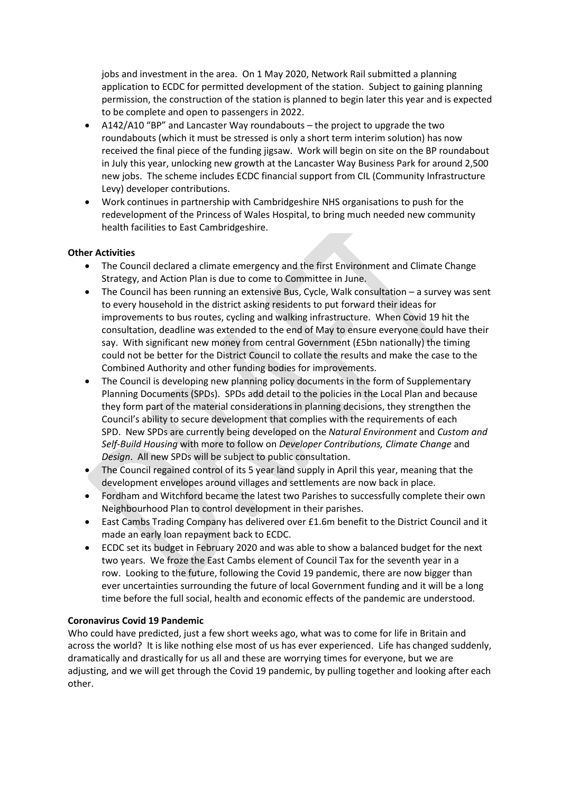jobs and investment in the area. On 1 May 2020, Network Rail submitted a planning application to ECDC for permitted development of the station. Subject to gaining planning permission, the construction of the station is planned to begin later this year and is expected to be complete and open to passengers in 2022.

- A142/A10 "BP" and Lancaster Way roundabouts the project to upgrade the two roundabouts (which it must be stressed is only a short term interim solution) has now received the final piece of the funding jigsaw. Work will begin on site on the BP roundabout in July this year, unlocking new growth at the Lancaster Way Business Park for around 2,500 new jobs. The scheme includes ECDC financial support from CIL (Community Infrastructure Levy) developer contributions.
- Work continues in partnership with Cambridgeshire NHS organisations to push for the redevelopment of the Princess of Wales Hospital, to bring much needed new community health facilities to East Cambridgeshire.

### **Other Activities**

- The Council declared a climate emergency and the first Environment and Climate Change Strategy, and Action Plan is due to come to Committee in June.
- The Council has been running an extensive Bus, Cycle, Walk consultation a survey was sent to every household in the district asking residents to put forward their ideas for improvements to bus routes, cycling and walking infrastructure. When Covid 19 hit the consultation, deadline was extended to the end of May to ensure everyone could have their say. With significant new money from central Government (£5bn nationally) the timing could not be better for the District Council to collate the results and make the case to the Combined Authority and other funding bodies for improvements.
- The Council is developing new planning policy documents in the form of Supplementary Planning Documents (SPDs). SPDs add detail to the policies in the Local Plan and because they form part of the material considerations in planning decisions, they strengthen the Council's ability to secure development that complies with the requirements of each SPD. New SPDs are currently being developed on the *Natural Environment* and *Custom and Self-Build Housing* with more to follow on *Developer Contributions, Climate Change* and *Design*. All new SPDs will be subject to public consultation.
- The Council regained control of its 5 year land supply in April this year, meaning that the development envelopes around villages and settlements are now back in place.
- Fordham and Witchford became the latest two Parishes to successfully complete their own Neighbourhood Plan to control development in their parishes.
- East Cambs Trading Company has delivered over £1.6m benefit to the District Council and it made an early loan repayment back to ECDC.
- ECDC set its budget in February 2020 and was able to show a balanced budget for the next two years. We froze the East Cambs element of Council Tax for the seventh year in a row. Looking to the future, following the Covid 19 pandemic, there are now bigger than ever uncertainties surrounding the future of local Government funding and it will be a long time before the full social, health and economic effects of the pandemic are understood.

### **Coronavirus Covid 19 Pandemic**

Who could have predicted, just a few short weeks ago, what was to come for life in Britain and across the world? It is like nothing else most of us has ever experienced. Life has changed suddenly, dramatically and drastically for us all and these are worrying times for everyone, but we are adjusting, and we will get through the Covid 19 pandemic, by pulling together and looking after each other.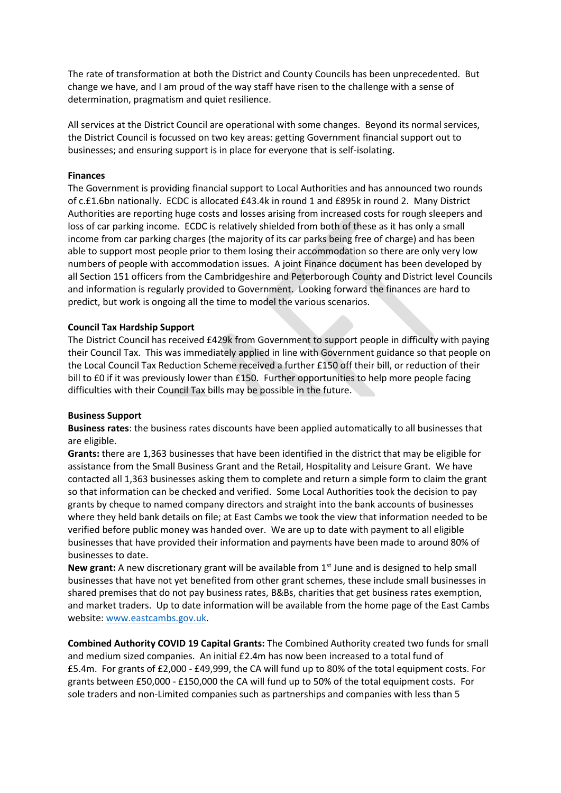The rate of transformation at both the District and County Councils has been unprecedented. But change we have, and I am proud of the way staff have risen to the challenge with a sense of determination, pragmatism and quiet resilience.

All services at the District Council are operational with some changes. Beyond its normal services, the District Council is focussed on two key areas: getting Government financial support out to businesses; and ensuring support is in place for everyone that is self-isolating.

#### **Finances**

The Government is providing financial support to Local Authorities and has announced two rounds of c.£1.6bn nationally. ECDC is allocated £43.4k in round 1 and £895k in round 2. Many District Authorities are reporting huge costs and losses arising from increased costs for rough sleepers and loss of car parking income. ECDC is relatively shielded from both of these as it has only a small income from car parking charges (the majority of its car parks being free of charge) and has been able to support most people prior to them losing their accommodation so there are only very low numbers of people with accommodation issues. A joint Finance document has been developed by all Section 151 officers from the Cambridgeshire and Peterborough County and District level Councils and information is regularly provided to Government. Looking forward the finances are hard to predict, but work is ongoing all the time to model the various scenarios.

#### **Council Tax Hardship Support**

The District Council has received £429k from Government to support people in difficulty with paying their Council Tax. This was immediately applied in line with Government guidance so that people on the Local Council Tax Reduction Scheme received a further £150 off their bill, or reduction of their bill to £0 if it was previously lower than £150. Further opportunities to help more people facing difficulties with their Council Tax bills may be possible in the future.

#### **Business Support**

**Business rates**: the business rates discounts have been applied automatically to all businesses that are eligible.

**Grants:** there are 1,363 businesses that have been identified in the district that may be eligible for assistance from the Small Business Grant and the Retail, Hospitality and Leisure Grant. We have contacted all 1,363 businesses asking them to complete and return a simple form to claim the grant so that information can be checked and verified. Some Local Authorities took the decision to pay grants by cheque to named company directors and straight into the bank accounts of businesses where they held bank details on file; at East Cambs we took the view that information needed to be verified before public money was handed over. We are up to date with payment to all eligible businesses that have provided their information and payments have been made to around 80% of businesses to date.

**New grant:** A new discretionary grant will be available from 1<sup>st</sup> June and is designed to help small businesses that have not yet benefited from other grant schemes, these include small businesses in shared premises that do not pay business rates, B&Bs, charities that get business rates exemption, and market traders. Up to date information will be available from the home page of the East Cambs website[: www.eastcambs.gov.uk.](http://www.eastcambs.gov.uk/)

**Combined Authority COVID 19 Capital Grants:** The Combined Authority created two funds for small and medium sized companies. An initial £2.4m has now been increased to a total fund of £5.4m. For grants of £2,000 - £49,999, the CA will fund up to 80% of the total equipment costs. For grants between £50,000 - £150,000 the CA will fund up to 50% of the total equipment costs. For sole traders and non-Limited companies such as partnerships and companies with less than 5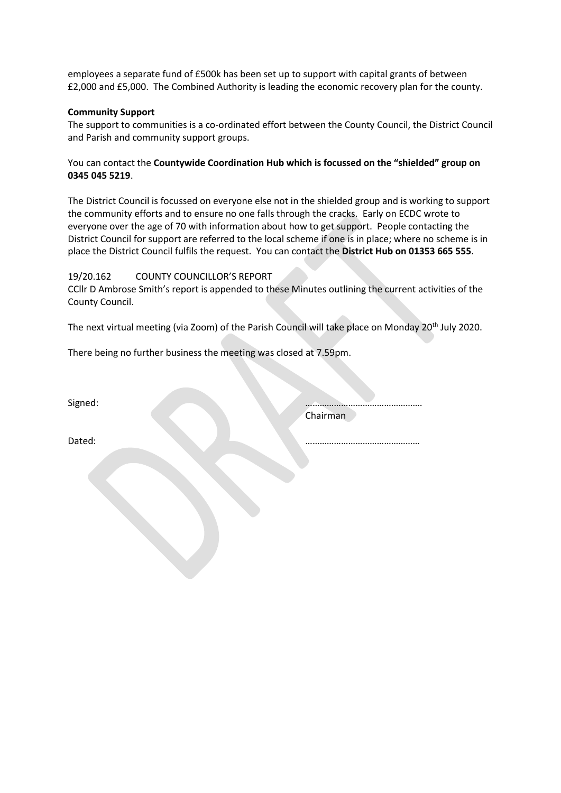employees a separate fund of £500k has been set up to support with capital grants of between £2,000 and £5,000. The Combined Authority is leading the economic recovery plan for the county.

### **Community Support**

The support to communities is a co-ordinated effort between the County Council, the District Council and Parish and community support groups.

## You can contact the **Countywide Coordination Hub which is focussed on the "shielded" group on 0345 045 5219**.

The District Council is focussed on everyone else not in the shielded group and is working to support the community efforts and to ensure no one falls through the cracks. Early on ECDC wrote to everyone over the age of 70 with information about how to get support. People contacting the District Council for support are referred to the local scheme if one is in place; where no scheme is in place the District Council fulfils the request. You can contact the **District Hub on 01353 665 555**.

### 19/20.162 COUNTY COUNCILLOR'S REPORT

CCllr D Ambrose Smith's report is appended to these Minutes outlining the current activities of the County Council.

The next virtual meeting (via Zoom) of the Parish Council will take place on Monday 20<sup>th</sup> July 2020.

There being no further business the meeting was closed at 7.59pm.

Signed: …………………………………………. Chairman

Dated: …………………………………………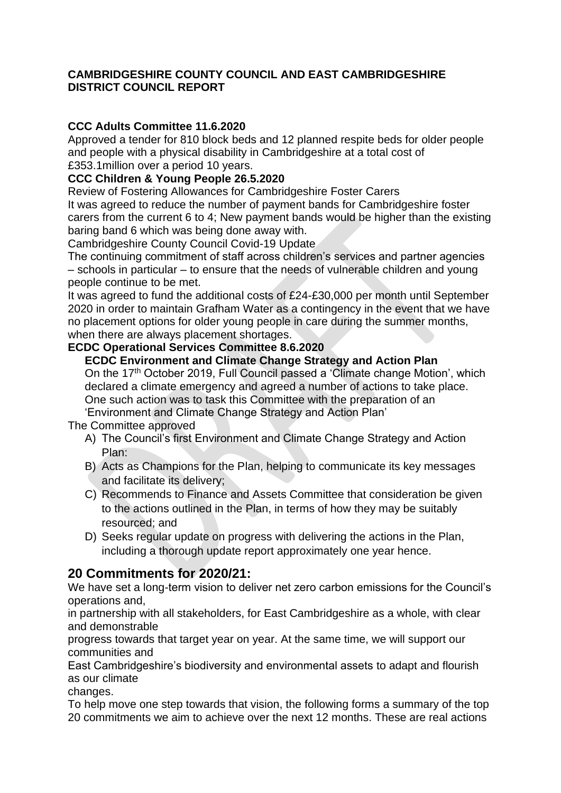## **CAMBRIDGESHIRE COUNTY COUNCIL AND EAST CAMBRIDGESHIRE DISTRICT COUNCIL REPORT**

## **CCC Adults Committee 11.6.2020**

Approved a tender for 810 block beds and 12 planned respite beds for older people and people with a physical disability in Cambridgeshire at a total cost of £353.1million over a period 10 years.

## **CCC Children & Young People 26.5.2020**

Review of Fostering Allowances for Cambridgeshire Foster Carers

It was agreed to reduce the number of payment bands for Cambridgeshire foster carers from the current 6 to 4; New payment bands would be higher than the existing baring band 6 which was being done away with.

Cambridgeshire County Council Covid-19 Update

The continuing commitment of staff across children's services and partner agencies – schools in particular – to ensure that the needs of vulnerable children and young people continue to be met.

It was agreed to fund the additional costs of £24-£30,000 per month until September 2020 in order to maintain Grafham Water as a contingency in the event that we have no placement options for older young people in care during the summer months, when there are always placement shortages.

## **ECDC Operational Services Committee 8.6.2020**

## **ECDC Environment and Climate Change Strategy and Action Plan**

On the 17th October 2019, Full Council passed a 'Climate change Motion', which declared a climate emergency and agreed a number of actions to take place. One such action was to task this Committee with the preparation of an 'Environment and Climate Change Strategy and Action Plan'

The Committee approved

- A) The Council's first Environment and Climate Change Strategy and Action Plan:
- B) Acts as Champions for the Plan, helping to communicate its key messages and facilitate its delivery;
- C) Recommends to Finance and Assets Committee that consideration be given to the actions outlined in the Plan, in terms of how they may be suitably resourced; and
- D) Seeks regular update on progress with delivering the actions in the Plan, including a thorough update report approximately one year hence.

## **20 Commitments for 2020/21:**

We have set a long-term vision to deliver net zero carbon emissions for the Council's operations and,

in partnership with all stakeholders, for East Cambridgeshire as a whole, with clear and demonstrable

progress towards that target year on year. At the same time, we will support our communities and

East Cambridgeshire's biodiversity and environmental assets to adapt and flourish as our climate

changes.

To help move one step towards that vision, the following forms a summary of the top 20 commitments we aim to achieve over the next 12 months. These are real actions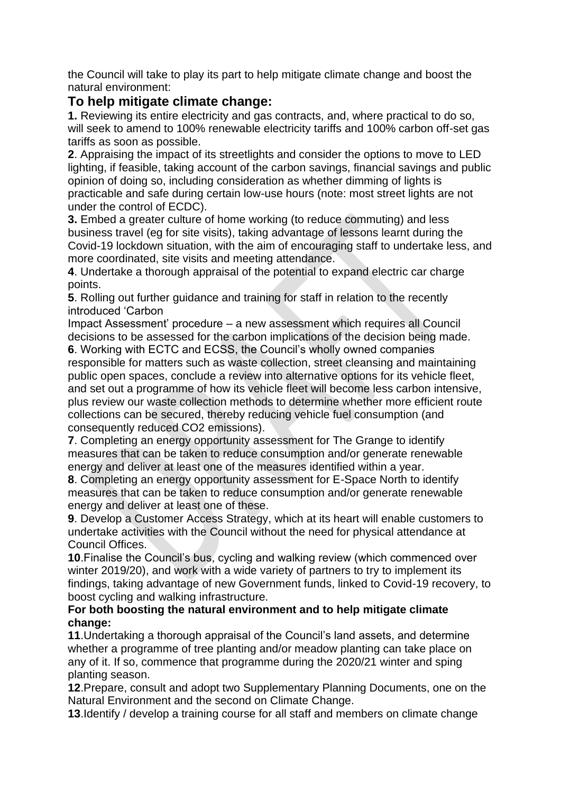the Council will take to play its part to help mitigate climate change and boost the natural environment:

## **To help mitigate climate change:**

**1.** Reviewing its entire electricity and gas contracts, and, where practical to do so, will seek to amend to 100% renewable electricity tariffs and 100% carbon off-set gas tariffs as soon as possible.

**2**. Appraising the impact of its streetlights and consider the options to move to LED lighting, if feasible, taking account of the carbon savings, financial savings and public opinion of doing so, including consideration as whether dimming of lights is practicable and safe during certain low-use hours (note: most street lights are not under the control of ECDC).

**3.** Embed a greater culture of home working (to reduce commuting) and less business travel (eg for site visits), taking advantage of lessons learnt during the Covid-19 lockdown situation, with the aim of encouraging staff to undertake less, and more coordinated, site visits and meeting attendance.

**4**. Undertake a thorough appraisal of the potential to expand electric car charge points.

**5**. Rolling out further guidance and training for staff in relation to the recently introduced 'Carbon

Impact Assessment' procedure – a new assessment which requires all Council decisions to be assessed for the carbon implications of the decision being made.

**6**. Working with ECTC and ECSS, the Council's wholly owned companies responsible for matters such as waste collection, street cleansing and maintaining public open spaces, conclude a review into alternative options for its vehicle fleet, and set out a programme of how its vehicle fleet will become less carbon intensive, plus review our waste collection methods to determine whether more efficient route collections can be secured, thereby reducing vehicle fuel consumption (and consequently reduced CO2 emissions).

**7**. Completing an energy opportunity assessment for The Grange to identify measures that can be taken to reduce consumption and/or generate renewable energy and deliver at least one of the measures identified within a year.

**8**. Completing an energy opportunity assessment for E-Space North to identify measures that can be taken to reduce consumption and/or generate renewable energy and deliver at least one of these.

**9**. Develop a Customer Access Strategy, which at its heart will enable customers to undertake activities with the Council without the need for physical attendance at Council Offices.

**10**.Finalise the Council's bus, cycling and walking review (which commenced over winter 2019/20), and work with a wide variety of partners to try to implement its findings, taking advantage of new Government funds, linked to Covid-19 recovery, to boost cycling and walking infrastructure.

## **For both boosting the natural environment and to help mitigate climate change:**

**11**.Undertaking a thorough appraisal of the Council's land assets, and determine whether a programme of tree planting and/or meadow planting can take place on any of it. If so, commence that programme during the 2020/21 winter and sping planting season.

**12**.Prepare, consult and adopt two Supplementary Planning Documents, one on the Natural Environment and the second on Climate Change.

**13**.Identify / develop a training course for all staff and members on climate change